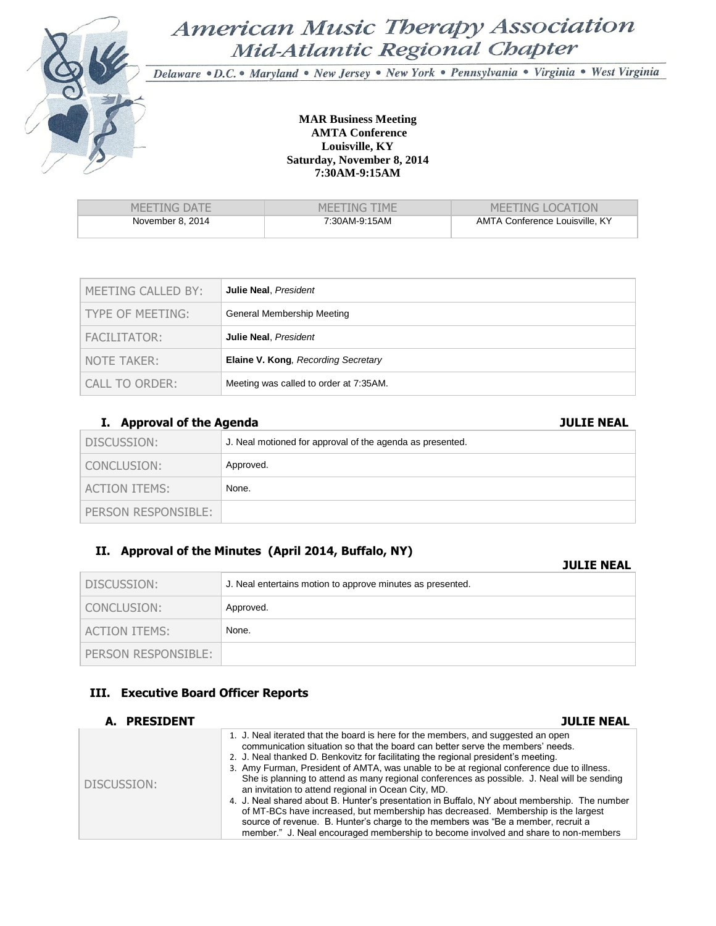

# American Music Therapy Association Mid-Atlantic Regional Chapter

Delaware . D.C. . Maryland . New Jersey . New York . Pennsylvania . Virginia . West Virginia

### **MAR Business Meeting AMTA Conference Louisville, KY Saturday, November 8, 2014 7:30AM-9:15AM**

| MEETING DATE     | MEETING TIME  | <b>MEETING LOCATION</b>        |
|------------------|---------------|--------------------------------|
| November 8, 2014 | 7:30AM-9:15AM | AMTA Conference Louisville, KY |

| MEETING CALLED BY: | Julie Neal, President                      |
|--------------------|--------------------------------------------|
| TYPE OF MEETING:   | General Membership Meeting                 |
| FACILITATOR:       | Julie Neal, President                      |
| NOTE TAKER:        | <b>Elaine V. Kong, Recording Secretary</b> |
| CALL TO ORDER:     | Meeting was called to order at 7:35AM.     |

# **I. Approval of the Agenda JULIE NEAL**

| DISCUSSION:         | J. Neal motioned for approval of the agenda as presented. |
|---------------------|-----------------------------------------------------------|
| CONCLUSION:         | Approved.                                                 |
| ACTION ITEMS:       | None.                                                     |
| PERSON RESPONSIBLE: |                                                           |

# **II. Approval of the Minutes (April 2014, Buffalo, NY)**

### **JULIE NEAL**

| DISCUSSION:          | J. Neal entertains motion to approve minutes as presented. |
|----------------------|------------------------------------------------------------|
| CONCLUSION:          | Approved.                                                  |
| <b>ACTION ITEMS:</b> | None.                                                      |
| PERSON RESPONSIBLE:  |                                                            |

# **III. Executive Board Officer Reports**

| A. PRESIDENT | <b>JULIE NEAL</b>                                                                                                                                                                                                                                                                                                                                                                                                                                                                                                                                                                                                                                                                                                                                                                                                                                                           |
|--------------|-----------------------------------------------------------------------------------------------------------------------------------------------------------------------------------------------------------------------------------------------------------------------------------------------------------------------------------------------------------------------------------------------------------------------------------------------------------------------------------------------------------------------------------------------------------------------------------------------------------------------------------------------------------------------------------------------------------------------------------------------------------------------------------------------------------------------------------------------------------------------------|
| DISCUSSION:  | 1. J. Neal iterated that the board is here for the members, and suggested an open<br>communication situation so that the board can better serve the members' needs.<br>2. J. Neal thanked D. Benkovitz for facilitating the regional president's meeting.<br>3. Amy Furman, President of AMTA, was unable to be at regional conference due to illness.<br>She is planning to attend as many regional conferences as possible. J. Neal will be sending<br>an invitation to attend regional in Ocean City, MD.<br>4. J. Neal shared about B. Hunter's presentation in Buffalo, NY about membership. The number<br>of MT-BCs have increased, but membership has decreased. Membership is the largest<br>source of revenue. B. Hunter's charge to the members was "Be a member, recruit a<br>member." J. Neal encouraged membership to become involved and share to non-members |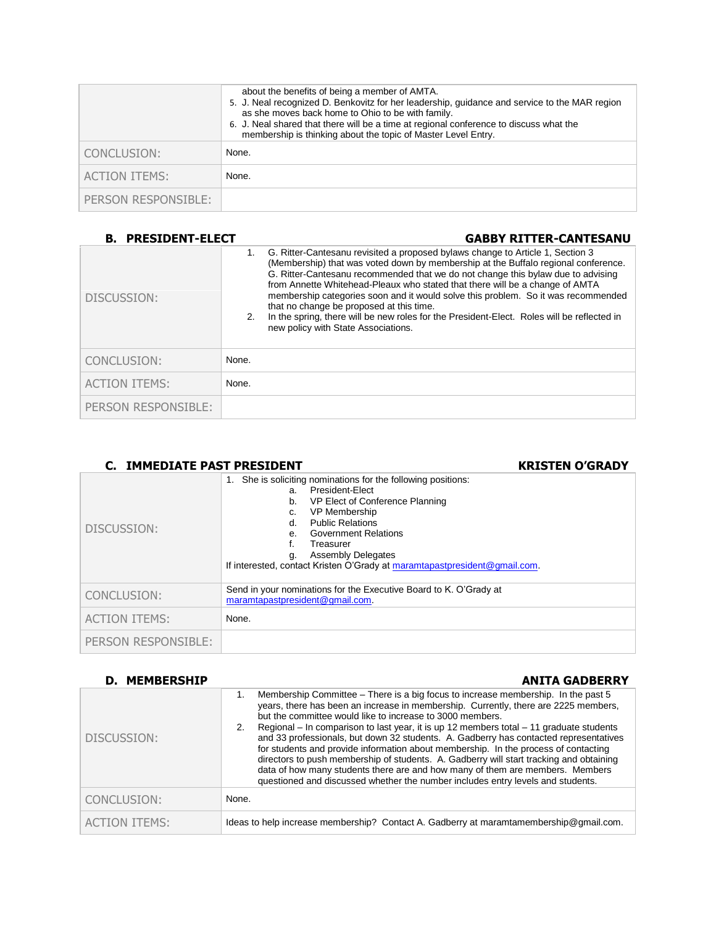|                      | about the benefits of being a member of AMTA.<br>5. J. Neal recognized D. Benkovitz for her leadership, guidance and service to the MAR region<br>as she moves back home to Ohio to be with family.<br>6. J. Neal shared that there will be a time at regional conference to discuss what the<br>membership is thinking about the topic of Master Level Entry. |
|----------------------|----------------------------------------------------------------------------------------------------------------------------------------------------------------------------------------------------------------------------------------------------------------------------------------------------------------------------------------------------------------|
| CONCLUSION:          | None.                                                                                                                                                                                                                                                                                                                                                          |
| <b>ACTION ITEMS:</b> | None.                                                                                                                                                                                                                                                                                                                                                          |
| PERSON RESPONSIBLE:  |                                                                                                                                                                                                                                                                                                                                                                |

# **B. PRESIDENT-ELECT GABBY RITTER-CANTESANU**

| DISCUSSION:          | 2.    | G. Ritter-Cantesanu revisited a proposed bylaws change to Article 1, Section 3<br>(Membership) that was voted down by membership at the Buffalo regional conference.<br>G. Ritter-Cantesanu recommended that we do not change this bylaw due to advising<br>from Annette Whitehead-Pleaux who stated that there will be a change of AMTA<br>membership categories soon and it would solve this problem. So it was recommended<br>that no change be proposed at this time.<br>In the spring, there will be new roles for the President-Elect. Roles will be reflected in<br>new policy with State Associations. |
|----------------------|-------|----------------------------------------------------------------------------------------------------------------------------------------------------------------------------------------------------------------------------------------------------------------------------------------------------------------------------------------------------------------------------------------------------------------------------------------------------------------------------------------------------------------------------------------------------------------------------------------------------------------|
| CONCLUSION:          | None. |                                                                                                                                                                                                                                                                                                                                                                                                                                                                                                                                                                                                                |
| <b>ACTION ITEMS:</b> | None. |                                                                                                                                                                                                                                                                                                                                                                                                                                                                                                                                                                                                                |
| PERSON RESPONSIBLE:  |       |                                                                                                                                                                                                                                                                                                                                                                                                                                                                                                                                                                                                                |

| C. IMMEDIATE PAST PRESIDENT | <b>KRISTEN O'GRADY</b>                                                                                                                                                                                                                                                                                                                                 |
|-----------------------------|--------------------------------------------------------------------------------------------------------------------------------------------------------------------------------------------------------------------------------------------------------------------------------------------------------------------------------------------------------|
| DISCUSSION:                 | 1. She is soliciting nominations for the following positions:<br>President-Elect<br>a.<br>VP Elect of Conference Planning<br>b.<br><b>VP Membership</b><br>C.<br><b>Public Relations</b><br>d.<br>e. Government Relations<br>Treasurer<br><b>Assembly Delegates</b><br>q.<br>If interested, contact Kristen O'Grady at maramtapastpresident@gmail.com. |
| CONCLUSION:                 | Send in your nominations for the Executive Board to K. O'Grady at<br>maramtapastpresident@gmail.com.                                                                                                                                                                                                                                                   |
| <b>ACTION ITEMS:</b>        | None.                                                                                                                                                                                                                                                                                                                                                  |
| PERSON RESPONSIBLE:         |                                                                                                                                                                                                                                                                                                                                                        |

| <b>D. MEMBERSHIP</b> | <b>ANITA GADBERRY</b>                                                                                                                                                                                                                                                                                                                                                                                                                                                                                                                                                                                                                                                                                                                                                                    |
|----------------------|------------------------------------------------------------------------------------------------------------------------------------------------------------------------------------------------------------------------------------------------------------------------------------------------------------------------------------------------------------------------------------------------------------------------------------------------------------------------------------------------------------------------------------------------------------------------------------------------------------------------------------------------------------------------------------------------------------------------------------------------------------------------------------------|
| DISCUSSION:          | Membership Committee – There is a big focus to increase membership. In the past 5<br>1.<br>years, there has been an increase in membership. Currently, there are 2225 members,<br>but the committee would like to increase to 3000 members.<br>2. Regional – In comparison to last year, it is up 12 members total – 11 graduate students<br>and 33 professionals, but down 32 students. A. Gadberry has contacted representatives<br>for students and provide information about membership. In the process of contacting<br>directors to push membership of students. A. Gadberry will start tracking and obtaining<br>data of how many students there are and how many of them are members. Members<br>guestioned and discussed whether the number includes entry levels and students. |
| CONCLUSION:          | None.                                                                                                                                                                                                                                                                                                                                                                                                                                                                                                                                                                                                                                                                                                                                                                                    |
| <b>ACTION ITEMS:</b> | Ideas to help increase membership? Contact A. Gadberry at maramtamembership@gmail.com.                                                                                                                                                                                                                                                                                                                                                                                                                                                                                                                                                                                                                                                                                                   |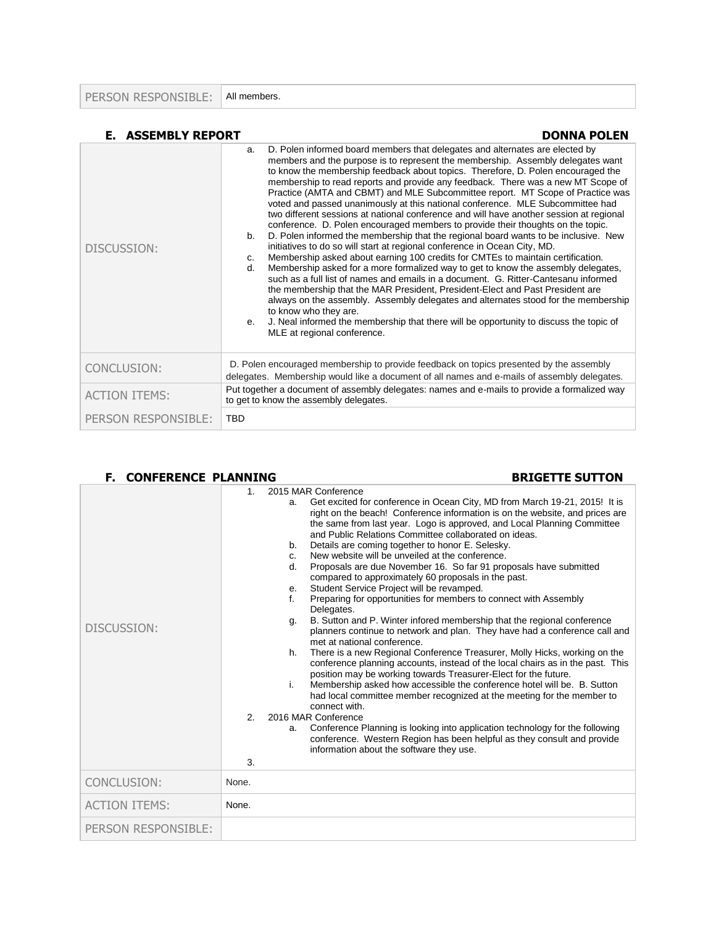PERSON RESPONSIBLE: All members.

| <b>E. ASSEMBLY REPORT</b> | <b>DONNA POLEN</b>                                                                                                                                                                                                                                                                                                                                                                                                                                                                                                                                                                                                                                                                                                                                                                                                                                                                                                                                                                                                                                                                                                                                                                                                                                                                                                                                                                                                                                                                  |  |
|---------------------------|-------------------------------------------------------------------------------------------------------------------------------------------------------------------------------------------------------------------------------------------------------------------------------------------------------------------------------------------------------------------------------------------------------------------------------------------------------------------------------------------------------------------------------------------------------------------------------------------------------------------------------------------------------------------------------------------------------------------------------------------------------------------------------------------------------------------------------------------------------------------------------------------------------------------------------------------------------------------------------------------------------------------------------------------------------------------------------------------------------------------------------------------------------------------------------------------------------------------------------------------------------------------------------------------------------------------------------------------------------------------------------------------------------------------------------------------------------------------------------------|--|
| DISCUSSION:               | D. Polen informed board members that delegates and alternates are elected by<br>a.<br>members and the purpose is to represent the membership. Assembly delegates want<br>to know the membership feedback about topics. Therefore, D. Polen encouraged the<br>membership to read reports and provide any feedback. There was a new MT Scope of<br>Practice (AMTA and CBMT) and MLE Subcommittee report. MT Scope of Practice was<br>voted and passed unanimously at this national conference. MLE Subcommittee had<br>two different sessions at national conference and will have another session at regional<br>conference. D. Polen encouraged members to provide their thoughts on the topic.<br>D. Polen informed the membership that the regional board wants to be inclusive. New<br>b.<br>initiatives to do so will start at regional conference in Ocean City, MD.<br>Membership asked about earning 100 credits for CMTEs to maintain certification.<br>C.<br>Membership asked for a more formalized way to get to know the assembly delegates,<br>d.<br>such as a full list of names and emails in a document. G. Ritter-Cantesanu informed<br>the membership that the MAR President, President-Elect and Past President are<br>always on the assembly. Assembly delegates and alternates stood for the membership<br>to know who they are.<br>J. Neal informed the membership that there will be opportunity to discuss the topic of<br>е.<br>MLE at regional conference. |  |
| CONCLUSION:               | D. Polen encouraged membership to provide feedback on topics presented by the assembly<br>delegates. Membership would like a document of all names and e-mails of assembly delegates.                                                                                                                                                                                                                                                                                                                                                                                                                                                                                                                                                                                                                                                                                                                                                                                                                                                                                                                                                                                                                                                                                                                                                                                                                                                                                               |  |
| <b>ACTION ITEMS:</b>      | Put together a document of assembly delegates: names and e-mails to provide a formalized way<br>to get to know the assembly delegates.                                                                                                                                                                                                                                                                                                                                                                                                                                                                                                                                                                                                                                                                                                                                                                                                                                                                                                                                                                                                                                                                                                                                                                                                                                                                                                                                              |  |
| PERSON RESPONSIBLE:       | <b>TBD</b>                                                                                                                                                                                                                                                                                                                                                                                                                                                                                                                                                                                                                                                                                                                                                                                                                                                                                                                                                                                                                                                                                                                                                                                                                                                                                                                                                                                                                                                                          |  |

### F. CONFERENCE PLANNING BRIGETTE SUTTON

|                      | 1.                   | 2015 MAR Conference                                                                                                                                                                                                                                                                                                                                                                                                                                                                                                                                                                                                                                                                                                                                                                                                                                                                                                                                                                                                                                                                                                                                                                                                                                                                                                                                                                                                                                                                                                                                             |
|----------------------|----------------------|-----------------------------------------------------------------------------------------------------------------------------------------------------------------------------------------------------------------------------------------------------------------------------------------------------------------------------------------------------------------------------------------------------------------------------------------------------------------------------------------------------------------------------------------------------------------------------------------------------------------------------------------------------------------------------------------------------------------------------------------------------------------------------------------------------------------------------------------------------------------------------------------------------------------------------------------------------------------------------------------------------------------------------------------------------------------------------------------------------------------------------------------------------------------------------------------------------------------------------------------------------------------------------------------------------------------------------------------------------------------------------------------------------------------------------------------------------------------------------------------------------------------------------------------------------------------|
| DISCUSSION:          | 2 <sub>1</sub><br>3. | Get excited for conference in Ocean City, MD from March 19-21, 2015! It is<br>a.<br>right on the beach! Conference information is on the website, and prices are<br>the same from last year. Logo is approved, and Local Planning Committee<br>and Public Relations Committee collaborated on ideas.<br>Details are coming together to honor E. Selesky.<br>b.<br>New website will be unveiled at the conference.<br>C.<br>Proposals are due November 16. So far 91 proposals have submitted<br>$d_{-}$<br>compared to approximately 60 proposals in the past.<br>Student Service Project will be revamped.<br>е.<br>f.<br>Preparing for opportunities for members to connect with Assembly<br>Delegates.<br>B. Sutton and P. Winter infored membership that the regional conference<br>g.<br>planners continue to network and plan. They have had a conference call and<br>met at national conference.<br>There is a new Regional Conference Treasurer, Molly Hicks, working on the<br>h.<br>conference planning accounts, instead of the local chairs as in the past. This<br>position may be working towards Treasurer-Elect for the future.<br>Membership asked how accessible the conference hotel will be. B. Sutton<br>i.<br>had local committee member recognized at the meeting for the member to<br>connect with.<br>2016 MAR Conference<br>Conference Planning is looking into application technology for the following<br>a.<br>conference. Western Region has been helpful as they consult and provide<br>information about the software they use. |
| CONCLUSION:          | None.                |                                                                                                                                                                                                                                                                                                                                                                                                                                                                                                                                                                                                                                                                                                                                                                                                                                                                                                                                                                                                                                                                                                                                                                                                                                                                                                                                                                                                                                                                                                                                                                 |
| <b>ACTION ITEMS:</b> | None.                |                                                                                                                                                                                                                                                                                                                                                                                                                                                                                                                                                                                                                                                                                                                                                                                                                                                                                                                                                                                                                                                                                                                                                                                                                                                                                                                                                                                                                                                                                                                                                                 |
| PERSON RESPONSIBLE:  |                      |                                                                                                                                                                                                                                                                                                                                                                                                                                                                                                                                                                                                                                                                                                                                                                                                                                                                                                                                                                                                                                                                                                                                                                                                                                                                                                                                                                                                                                                                                                                                                                 |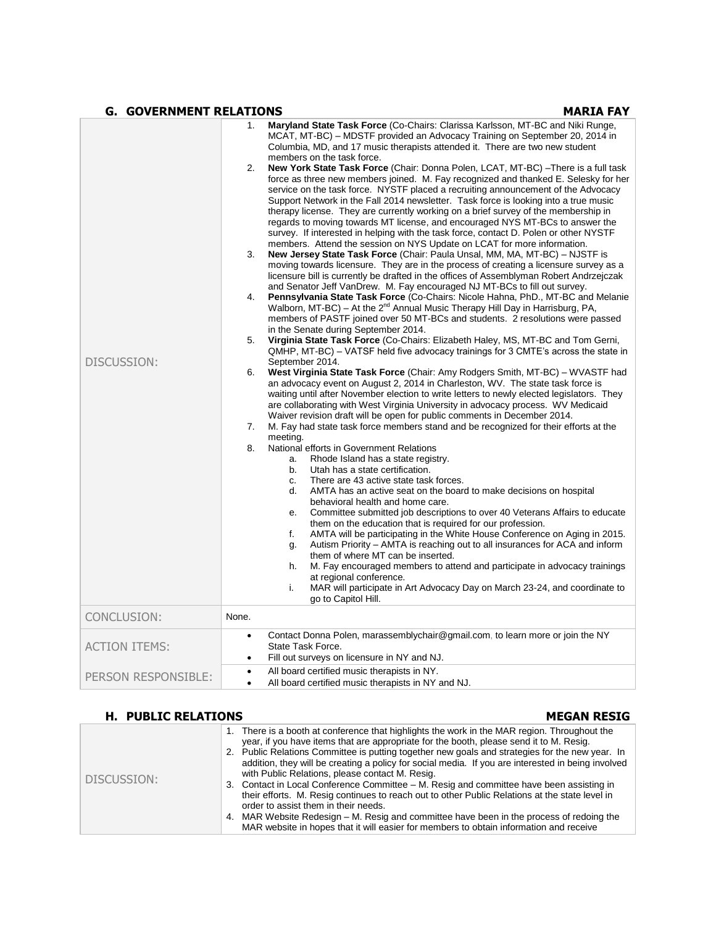### **G.** GOVERNMENT RELATIONS **MARIA FAY**

| DISCUSSION:         | 1.<br>2.<br>3.<br>4.<br>5.<br>6.<br>7.<br>8. | Maryland State Task Force (Co-Chairs: Clarissa Karlsson, MT-BC and Niki Runge,<br>MCAT, MT-BC) – MDSTF provided an Advocacy Training on September 20, 2014 in<br>Columbia, MD, and 17 music therapists attended it. There are two new student<br>members on the task force.<br><b>New York State Task Force</b> (Chair: Donna Polen, LCAT, MT-BC) -There is a full task<br>force as three new members joined. M. Fay recognized and thanked E. Selesky for her<br>service on the task force. NYSTF placed a recruiting announcement of the Advocacy<br>Support Network in the Fall 2014 newsletter. Task force is looking into a true music<br>therapy license. They are currently working on a brief survey of the membership in<br>regards to moving towards MT license, and encouraged NYS MT-BCs to answer the<br>survey. If interested in helping with the task force, contact D. Polen or other NYSTF<br>members. Attend the session on NYS Update on LCAT for more information.<br><b>New Jersey State Task Force (Chair: Paula Unsal, MM, MA, MT-BC) – NJSTF is</b><br>moving towards licensure. They are in the process of creating a licensure survey as a<br>licensure bill is currently be drafted in the offices of Assemblyman Robert Andrzejczak<br>and Senator Jeff VanDrew. M. Fay encouraged NJ MT-BCs to fill out survey.<br>Pennsylvania State Task Force (Co-Chairs: Nicole Hahna, PhD., MT-BC and Melanie<br>Walborn, MT-BC) - At the 2 <sup>nd</sup> Annual Music Therapy Hill Day in Harrisburg, PA,<br>members of PASTF joined over 50 MT-BCs and students. 2 resolutions were passed<br>in the Senate during September 2014.<br>Virginia State Task Force (Co-Chairs: Elizabeth Haley, MS, MT-BC and Tom Gerni,<br>QMHP, MT-BC) - VATSF held five advocacy trainings for 3 CMTE's across the state in<br>September 2014.<br>West Virginia State Task Force (Chair: Amy Rodgers Smith, MT-BC) - WVASTF had<br>an advocacy event on August 2, 2014 in Charleston, WV. The state task force is<br>waiting until after November election to write letters to newly elected legislators. They<br>are collaborating with West Virginia University in advocacy process. WV Medicaid<br>Waiver revision draft will be open for public comments in December 2014.<br>M. Fay had state task force members stand and be recognized for their efforts at the<br>meeting.<br>National efforts in Government Relations<br>Rhode Island has a state registry.<br>a.<br>Utah has a state certification.<br>b.<br>There are 43 active state task forces.<br>C.<br>AMTA has an active seat on the board to make decisions on hospital<br>d.<br>behavioral health and home care.<br>Committee submitted job descriptions to over 40 Veterans Affairs to educate<br>е.<br>them on the education that is required for our profession.<br>AMTA will be participating in the White House Conference on Aging in 2015.<br>f.<br>Autism Priority – AMTA is reaching out to all insurances for ACA and inform<br>g.<br>them of where MT can be inserted.<br>M. Fay encouraged members to attend and participate in advocacy trainings<br>h.<br>at regional conference.<br>i.<br>MAR will participate in Art Advocacy Day on March 23-24, and coordinate to<br>go to Capitol Hill. |
|---------------------|----------------------------------------------|-----------------------------------------------------------------------------------------------------------------------------------------------------------------------------------------------------------------------------------------------------------------------------------------------------------------------------------------------------------------------------------------------------------------------------------------------------------------------------------------------------------------------------------------------------------------------------------------------------------------------------------------------------------------------------------------------------------------------------------------------------------------------------------------------------------------------------------------------------------------------------------------------------------------------------------------------------------------------------------------------------------------------------------------------------------------------------------------------------------------------------------------------------------------------------------------------------------------------------------------------------------------------------------------------------------------------------------------------------------------------------------------------------------------------------------------------------------------------------------------------------------------------------------------------------------------------------------------------------------------------------------------------------------------------------------------------------------------------------------------------------------------------------------------------------------------------------------------------------------------------------------------------------------------------------------------------------------------------------------------------------------------------------------------------------------------------------------------------------------------------------------------------------------------------------------------------------------------------------------------------------------------------------------------------------------------------------------------------------------------------------------------------------------------------------------------------------------------------------------------------------------------------------------------------------------------------------------------------------------------------------------------------------------------------------------------------------------------------------------------------------------------------------------------------------------------------------------------------------------------------------------------------------------------------------------------------------------------------------------------------------------------------------------------------------------------------------------------------------------------------------------------------------------------------------------------------------------------------------------------------------------------------------------|
| CONCLUSION:         | None.                                        |                                                                                                                                                                                                                                                                                                                                                                                                                                                                                                                                                                                                                                                                                                                                                                                                                                                                                                                                                                                                                                                                                                                                                                                                                                                                                                                                                                                                                                                                                                                                                                                                                                                                                                                                                                                                                                                                                                                                                                                                                                                                                                                                                                                                                                                                                                                                                                                                                                                                                                                                                                                                                                                                                                                                                                                                                                                                                                                                                                                                                                                                                                                                                                                                                                                                                   |
| ACTION ITEMS:       | ٠<br>٠                                       | Contact Donna Polen, marassemblychair@gmail.com, to learn more or join the NY<br>State Task Force.<br>Fill out surveys on licensure in NY and NJ.                                                                                                                                                                                                                                                                                                                                                                                                                                                                                                                                                                                                                                                                                                                                                                                                                                                                                                                                                                                                                                                                                                                                                                                                                                                                                                                                                                                                                                                                                                                                                                                                                                                                                                                                                                                                                                                                                                                                                                                                                                                                                                                                                                                                                                                                                                                                                                                                                                                                                                                                                                                                                                                                                                                                                                                                                                                                                                                                                                                                                                                                                                                                 |
| PERSON RESPONSIBLE: | $\bullet$<br>٠                               | All board certified music therapists in NY.<br>All board certified music therapists in NY and NJ.                                                                                                                                                                                                                                                                                                                                                                                                                                                                                                                                                                                                                                                                                                                                                                                                                                                                                                                                                                                                                                                                                                                                                                                                                                                                                                                                                                                                                                                                                                                                                                                                                                                                                                                                                                                                                                                                                                                                                                                                                                                                                                                                                                                                                                                                                                                                                                                                                                                                                                                                                                                                                                                                                                                                                                                                                                                                                                                                                                                                                                                                                                                                                                                 |

# **H. PUBLIC RELATIONS MEGAN RESIG**

| DISCUSSION: | 1. There is a booth at conference that highlights the work in the MAR region. Throughout the<br>year, if you have items that are appropriate for the booth, please send it to M. Resig.<br>2. Public Relations Committee is putting together new goals and strategies for the new year. In<br>addition, they will be creating a policy for social media. If you are interested in being involved<br>with Public Relations, please contact M. Resig.<br>3. Contact in Local Conference Committee – M. Resig and committee have been assisting in<br>their efforts. M. Resig continues to reach out to other Public Relations at the state level in<br>order to assist them in their needs.<br>4. MAR Website Redesign – M. Resig and committee have been in the process of redoing the<br>MAR website in hopes that it will easier for members to obtain information and receive |
|-------------|---------------------------------------------------------------------------------------------------------------------------------------------------------------------------------------------------------------------------------------------------------------------------------------------------------------------------------------------------------------------------------------------------------------------------------------------------------------------------------------------------------------------------------------------------------------------------------------------------------------------------------------------------------------------------------------------------------------------------------------------------------------------------------------------------------------------------------------------------------------------------------|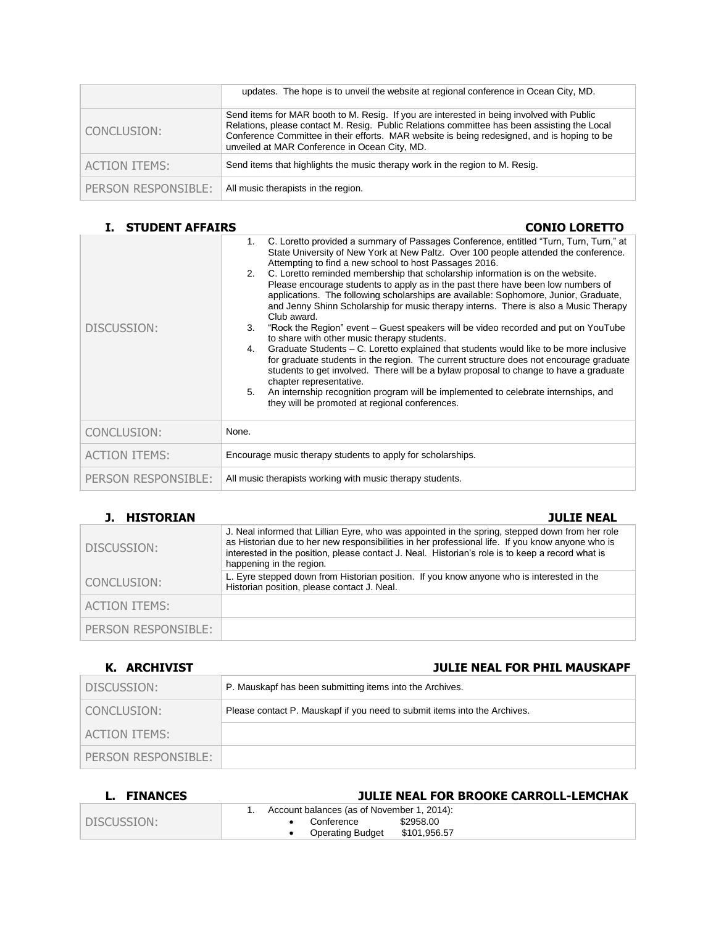|                      | updates. The hope is to unveil the website at regional conference in Ocean City, MD.                                                                                                                                                                                                                                                     |
|----------------------|------------------------------------------------------------------------------------------------------------------------------------------------------------------------------------------------------------------------------------------------------------------------------------------------------------------------------------------|
| CONCLUSION:          | Send items for MAR booth to M. Resig. If you are interested in being involved with Public<br>Relations, please contact M. Resig. Public Relations committee has been assisting the Local<br>Conference Committee in their efforts. MAR website is being redesigned, and is hoping to be<br>unveiled at MAR Conference in Ocean City, MD. |
| <b>ACTION ITEMS:</b> | Send items that highlights the music therapy work in the region to M. Resig.                                                                                                                                                                                                                                                             |
| PERSON RESPONSIBLE:  | All music therapists in the region.                                                                                                                                                                                                                                                                                                      |

# **I. STUDENT AFFAIRS CONIO LORETTO**

| DISCUSSION:          | C. Loretto provided a summary of Passages Conference, entitled "Turn, Turn, Turn," at<br>1.<br>State University of New York at New Paltz. Over 100 people attended the conference.<br>Attempting to find a new school to host Passages 2016.<br>C. Loretto reminded membership that scholarship information is on the website.<br>2.<br>Please encourage students to apply as in the past there have been low numbers of<br>applications. The following scholarships are available: Sophomore, Junior, Graduate,<br>and Jenny Shinn Scholarship for music therapy interns. There is also a Music Therapy<br>Club award.<br>"Rock the Region" event – Guest speakers will be video recorded and put on YouTube<br>3.<br>to share with other music therapy students.<br>Graduate Students - C. Loretto explained that students would like to be more inclusive<br>4.<br>for graduate students in the region. The current structure does not encourage graduate<br>students to get involved. There will be a bylaw proposal to change to have a graduate<br>chapter representative.<br>An internship recognition program will be implemented to celebrate internships, and<br>5.<br>they will be promoted at regional conferences. |
|----------------------|---------------------------------------------------------------------------------------------------------------------------------------------------------------------------------------------------------------------------------------------------------------------------------------------------------------------------------------------------------------------------------------------------------------------------------------------------------------------------------------------------------------------------------------------------------------------------------------------------------------------------------------------------------------------------------------------------------------------------------------------------------------------------------------------------------------------------------------------------------------------------------------------------------------------------------------------------------------------------------------------------------------------------------------------------------------------------------------------------------------------------------------------------------------------------------------------------------------------------------|
| CONCLUSION:          | None.                                                                                                                                                                                                                                                                                                                                                                                                                                                                                                                                                                                                                                                                                                                                                                                                                                                                                                                                                                                                                                                                                                                                                                                                                           |
| <b>ACTION ITEMS:</b> | Encourage music therapy students to apply for scholarships.                                                                                                                                                                                                                                                                                                                                                                                                                                                                                                                                                                                                                                                                                                                                                                                                                                                                                                                                                                                                                                                                                                                                                                     |
| PERSON RESPONSIBLE:  | All music therapists working with music therapy students.                                                                                                                                                                                                                                                                                                                                                                                                                                                                                                                                                                                                                                                                                                                                                                                                                                                                                                                                                                                                                                                                                                                                                                       |

# **J. HISTORIAN JULIE NEAL**

| DISCUSSION:          | J. Neal informed that Lillian Eyre, who was appointed in the spring, stepped down from her role<br>as Historian due to her new responsibilities in her professional life. If you know anyone who is<br>interested in the position, please contact J. Neal. Historian's role is to keep a record what is<br>happening in the region. |
|----------------------|-------------------------------------------------------------------------------------------------------------------------------------------------------------------------------------------------------------------------------------------------------------------------------------------------------------------------------------|
| CONCLUSION:          | L. Eyre stepped down from Historian position. If you know anyone who is interested in the<br>Historian position, please contact J. Neal.                                                                                                                                                                                            |
| <b>ACTION ITEMS:</b> |                                                                                                                                                                                                                                                                                                                                     |
| PERSON RESPONSIBLE:  |                                                                                                                                                                                                                                                                                                                                     |
|                      |                                                                                                                                                                                                                                                                                                                                     |

# **K. ARCHIVIST JULIE NEAL FOR PHIL MAUSKAPF**

| DISCUSSION:          | P. Mauskapf has been submitting items into the Archives.                  |
|----------------------|---------------------------------------------------------------------------|
| CONCLUSION:          | Please contact P. Mauskapf if you need to submit items into the Archives. |
| <b>ACTION ITEMS:</b> |                                                                           |
| PERSON RESPONSIBLE:  |                                                                           |

| <b>FINANCES</b> | <b>JULIE NEAL FOR BROOKE CARROLL-LEMCHAK</b>                                                                     |
|-----------------|------------------------------------------------------------------------------------------------------------------|
| DISCUSSION:     | Account balances (as of November 1, 2014):<br>\$2958.00<br>Conference<br>\$101,956.57<br><b>Operating Budget</b> |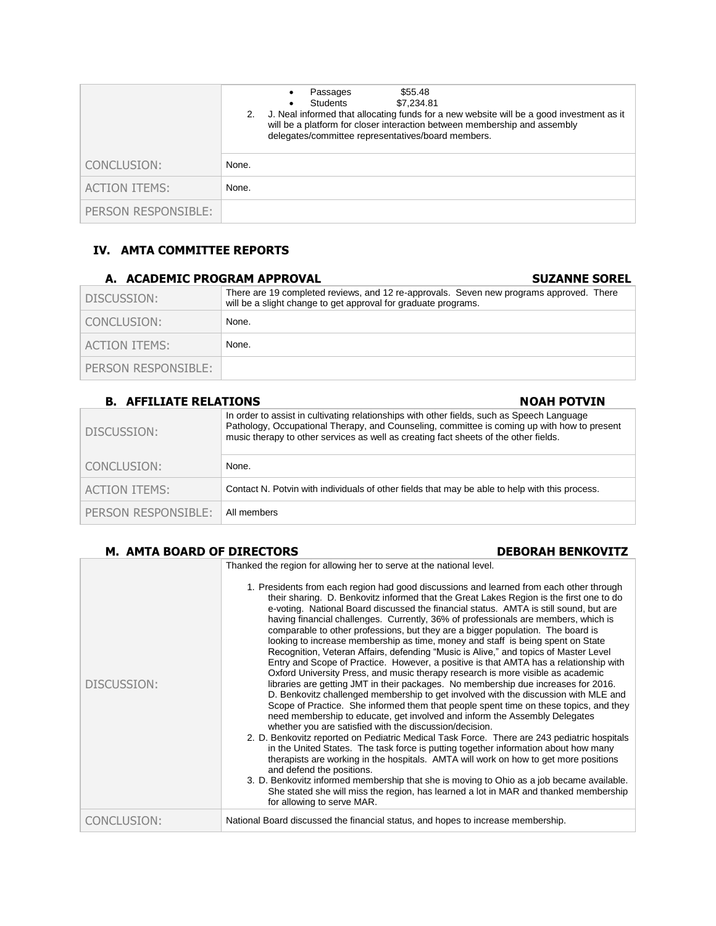|                      | \$55.48<br>Passages<br>٠<br>Students<br>\$7.234.81<br>2. J. Neal informed that allocating funds for a new website will be a good investment as it<br>will be a platform for closer interaction between membership and assembly<br>delegates/committee representatives/board members. |
|----------------------|--------------------------------------------------------------------------------------------------------------------------------------------------------------------------------------------------------------------------------------------------------------------------------------|
| CONCLUSION:          | None.                                                                                                                                                                                                                                                                                |
| <b>ACTION ITEMS:</b> | None.                                                                                                                                                                                                                                                                                |
| PERSON RESPONSIBLE:  |                                                                                                                                                                                                                                                                                      |

# **IV. AMTA COMMITTEE REPORTS**

| A. ACADEMIC PROGRAM APPROVAL | <b>SUZANNE SOREL</b>                                                                                                                                      |
|------------------------------|-----------------------------------------------------------------------------------------------------------------------------------------------------------|
| DISCUSSION:                  | There are 19 completed reviews, and 12 re-approvals. Seven new programs approved. There<br>will be a slight change to get approval for graduate programs. |
| I CONCLUSION:                | None.                                                                                                                                                     |
| ACTION ITEMS:                | None.                                                                                                                                                     |
| PERSON RESPONSIBLE:          |                                                                                                                                                           |

| <b>B. AFFILIATE RELATIONS</b> | <b>NOAH POTVIN</b>                                                                                                                                                                                                                                                                |
|-------------------------------|-----------------------------------------------------------------------------------------------------------------------------------------------------------------------------------------------------------------------------------------------------------------------------------|
| DISCUSSION:                   | In order to assist in cultivating relationships with other fields, such as Speech Language<br>Pathology, Occupational Therapy, and Counseling, committee is coming up with how to present<br>music therapy to other services as well as creating fact sheets of the other fields. |
| CONCLUSION:                   | None.                                                                                                                                                                                                                                                                             |
| <b>ACTION ITEMS:</b>          | Contact N. Potvin with individuals of other fields that may be able to help with this process.                                                                                                                                                                                    |
| PERSON RESPONSIBLE:           | All members                                                                                                                                                                                                                                                                       |

### M. AMTA BOARD OF DIRECTORS DEBORAH BENKOVITZ

| DISCUSSION: | Thanked the region for allowing her to serve at the national level.<br>1. Presidents from each region had good discussions and learned from each other through<br>their sharing. D. Benkovitz informed that the Great Lakes Region is the first one to do<br>e-voting. National Board discussed the financial status. AMTA is still sound, but are<br>having financial challenges. Currently, 36% of professionals are members, which is<br>comparable to other professions, but they are a bigger population. The board is<br>looking to increase membership as time, money and staff is being spent on State<br>Recognition, Veteran Affairs, defending "Music is Alive," and topics of Master Level<br>Entry and Scope of Practice. However, a positive is that AMTA has a relationship with<br>Oxford University Press, and music therapy research is more visible as academic<br>libraries are getting JMT in their packages. No membership due increases for 2016.<br>D. Benkovitz challenged membership to get involved with the discussion with MLE and<br>Scope of Practice. She informed them that people spent time on these topics, and they<br>need membership to educate, get involved and inform the Assembly Delegates<br>whether you are satisfied with the discussion/decision.<br>2. D. Benkovitz reported on Pediatric Medical Task Force. There are 243 pediatric hospitals<br>in the United States. The task force is putting together information about how many<br>therapists are working in the hospitals. AMTA will work on how to get more positions<br>and defend the positions.<br>3. D. Benkovitz informed membership that she is moving to Ohio as a job became available.<br>She stated she will miss the region, has learned a lot in MAR and thanked membership<br>for allowing to serve MAR. |
|-------------|---------------------------------------------------------------------------------------------------------------------------------------------------------------------------------------------------------------------------------------------------------------------------------------------------------------------------------------------------------------------------------------------------------------------------------------------------------------------------------------------------------------------------------------------------------------------------------------------------------------------------------------------------------------------------------------------------------------------------------------------------------------------------------------------------------------------------------------------------------------------------------------------------------------------------------------------------------------------------------------------------------------------------------------------------------------------------------------------------------------------------------------------------------------------------------------------------------------------------------------------------------------------------------------------------------------------------------------------------------------------------------------------------------------------------------------------------------------------------------------------------------------------------------------------------------------------------------------------------------------------------------------------------------------------------------------------------------------------------------------------------------------------------------------------------------------------------------|
| CONCLUSION: | National Board discussed the financial status, and hopes to increase membership.                                                                                                                                                                                                                                                                                                                                                                                                                                                                                                                                                                                                                                                                                                                                                                                                                                                                                                                                                                                                                                                                                                                                                                                                                                                                                                                                                                                                                                                                                                                                                                                                                                                                                                                                                |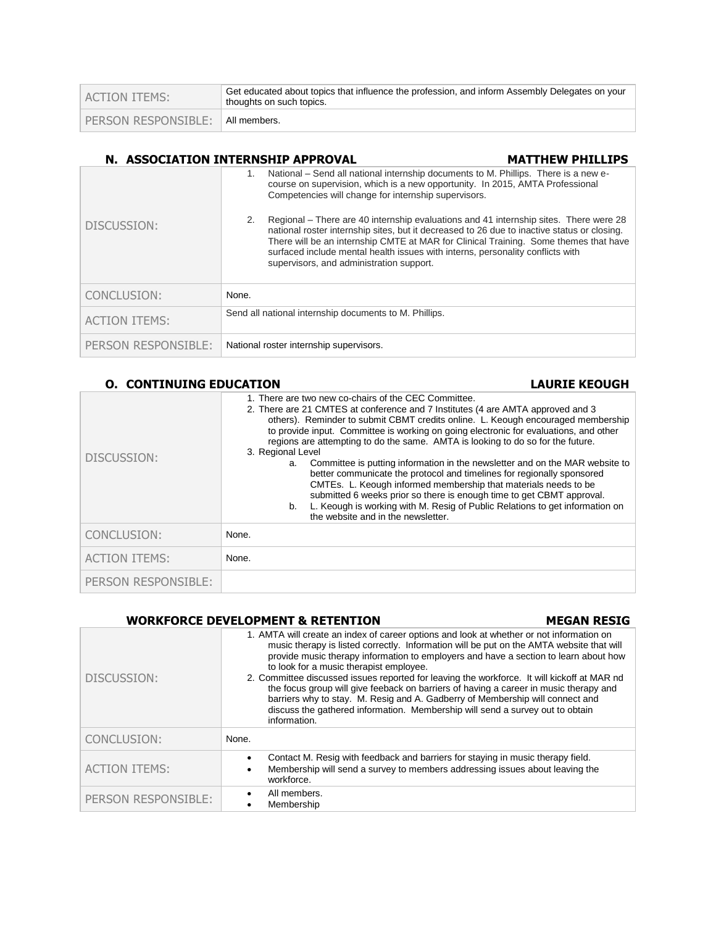| ACTION ITEMS:       | Get educated about topics that influence the profession, and inform Assembly Delegates on your<br>thoughts on such topics. |
|---------------------|----------------------------------------------------------------------------------------------------------------------------|
| PERSON RESPONSIBLE: | All members.                                                                                                               |

# **N. ASSOCIATION INTERNSHIP APPROVAL MATTHEW PHILLIPS**

| DISCUSSION:          | National – Send all national internship documents to M. Phillips. There is a new e-<br>course on supervision, which is a new opportunity. In 2015, AMTA Professional<br>Competencies will change for internship supervisors.<br>Regional – There are 40 internship evaluations and 41 internship sites. There were 28<br>2.<br>national roster internship sites, but it decreased to 26 due to inactive status or closing.<br>There will be an internship CMTE at MAR for Clinical Training. Some themes that have<br>surfaced include mental health issues with interns, personality conflicts with<br>supervisors, and administration support. |
|----------------------|--------------------------------------------------------------------------------------------------------------------------------------------------------------------------------------------------------------------------------------------------------------------------------------------------------------------------------------------------------------------------------------------------------------------------------------------------------------------------------------------------------------------------------------------------------------------------------------------------------------------------------------------------|
| CONCLUSION:          | None.                                                                                                                                                                                                                                                                                                                                                                                                                                                                                                                                                                                                                                            |
| <b>ACTION ITEMS:</b> | Send all national internship documents to M. Phillips.                                                                                                                                                                                                                                                                                                                                                                                                                                                                                                                                                                                           |
| PERSON RESPONSIBLE:  | National roster internship supervisors.                                                                                                                                                                                                                                                                                                                                                                                                                                                                                                                                                                                                          |

### **O. CONTINUING EDUCATION LAURIE KEOUGH**

| DISCUSSION:          | 1. There are two new co-chairs of the CEC Committee.<br>2. There are 21 CMTES at conference and 7 Institutes (4 are AMTA approved and 3<br>others). Reminder to submit CBMT credits online. L. Keough encouraged membership<br>to provide input. Committee is working on going electronic for evaluations, and other<br>regions are attempting to do the same. AMTA is looking to do so for the future.<br>3. Regional Level<br>Committee is putting information in the newsletter and on the MAR website to<br>а.<br>better communicate the protocol and timelines for regionally sponsored<br>CMTEs. L. Keough informed membership that materials needs to be<br>submitted 6 weeks prior so there is enough time to get CBMT approval.<br>L. Keough is working with M. Resig of Public Relations to get information on<br>b.<br>the website and in the newsletter. |  |
|----------------------|----------------------------------------------------------------------------------------------------------------------------------------------------------------------------------------------------------------------------------------------------------------------------------------------------------------------------------------------------------------------------------------------------------------------------------------------------------------------------------------------------------------------------------------------------------------------------------------------------------------------------------------------------------------------------------------------------------------------------------------------------------------------------------------------------------------------------------------------------------------------|--|
| CONCLUSION:          | None.                                                                                                                                                                                                                                                                                                                                                                                                                                                                                                                                                                                                                                                                                                                                                                                                                                                                |  |
| <b>ACTION ITEMS:</b> | None.                                                                                                                                                                                                                                                                                                                                                                                                                                                                                                                                                                                                                                                                                                                                                                                                                                                                |  |
| PERSON RESPONSIBLE:  |                                                                                                                                                                                                                                                                                                                                                                                                                                                                                                                                                                                                                                                                                                                                                                                                                                                                      |  |

### **WORKFORCE DEVELOPMENT & RETENTION MEGAN RESIG**

| DISCUSSION:          | 1. AMTA will create an index of career options and look at whether or not information on<br>music therapy is listed correctly. Information will be put on the AMTA website that will<br>provide music therapy information to employers and have a section to learn about how<br>to look for a music therapist employee.<br>2. Committee discussed issues reported for leaving the workforce. It will kickoff at MAR nd<br>the focus group will give feeback on barriers of having a career in music therapy and<br>barriers why to stay. M. Resig and A. Gadberry of Membership will connect and<br>discuss the gathered information. Membership will send a survey out to obtain<br>information. |  |
|----------------------|---------------------------------------------------------------------------------------------------------------------------------------------------------------------------------------------------------------------------------------------------------------------------------------------------------------------------------------------------------------------------------------------------------------------------------------------------------------------------------------------------------------------------------------------------------------------------------------------------------------------------------------------------------------------------------------------------|--|
| CONCLUSION:          | None.                                                                                                                                                                                                                                                                                                                                                                                                                                                                                                                                                                                                                                                                                             |  |
| <b>ACTION ITEMS:</b> | Contact M. Resig with feedback and barriers for staying in music therapy field.<br>Membership will send a survey to members addressing issues about leaving the<br>workforce.                                                                                                                                                                                                                                                                                                                                                                                                                                                                                                                     |  |
| PERSON RESPONSIBLE:  | All members.<br>Membership                                                                                                                                                                                                                                                                                                                                                                                                                                                                                                                                                                                                                                                                        |  |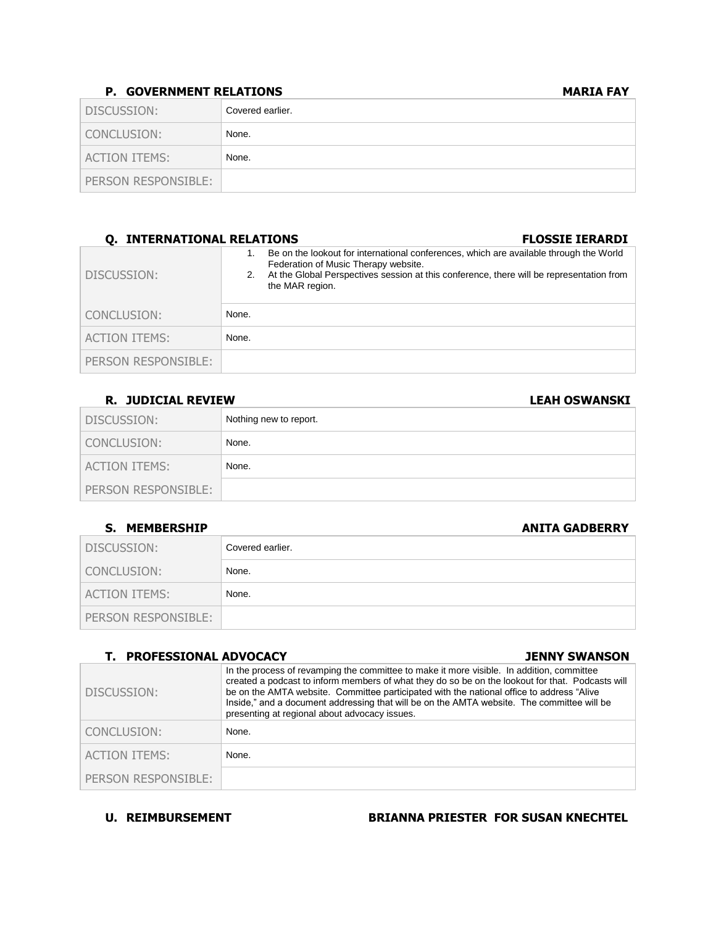### **P. GOVERNMENT RELATIONS MARIA FAY**

| DISCUSSION:         | Covered earlier. |
|---------------------|------------------|
| CONCLUSION:         | None.            |
| ACTION ITEMS:       | None.            |
| PERSON RESPONSIBLE: |                  |

| <b>Q. INTERNATIONAL RELATIONS</b> |       | <b>FLOSSIE IERARDI</b>                                                                                                                                                                                                                        |
|-----------------------------------|-------|-----------------------------------------------------------------------------------------------------------------------------------------------------------------------------------------------------------------------------------------------|
| DISCUSSION:                       |       | Be on the lookout for international conferences, which are available through the World<br>Federation of Music Therapy website.<br>At the Global Perspectives session at this conference, there will be representation from<br>the MAR region. |
| CONCLUSION:                       | None. |                                                                                                                                                                                                                                               |
| <b>ACTION ITEMS:</b>              | None. |                                                                                                                                                                                                                                               |
| PERSON RESPONSIBLE:               |       |                                                                                                                                                                                                                                               |

### **R. JUDICIAL REVIEW LEAH OSWANSKI**

| DISCUSSION:         | Nothing new to report. |
|---------------------|------------------------|
| CONCLUSION:         | None.                  |
| ACTION ITEMS:       | None.                  |
| PERSON RESPONSIBLE: |                        |

### **S. MEMBERSHIP ANITA GADBERRY**

|                      | .                |
|----------------------|------------------|
| DISCUSSION:          | Covered earlier. |
| CONCLUSION:          | None.            |
| <b>ACTION ITEMS:</b> | None.            |
| PERSON RESPONSIBLE:  |                  |

# **T. PROFESSIONAL ADVOCACY JENNY SWANSON**

| DISCUSSION:          | In the process of revamping the committee to make it more visible. In addition, committee<br>created a podcast to inform members of what they do so be on the lookout for that. Podcasts will<br>be on the AMTA website. Committee participated with the national office to address "Alive"<br>Inside," and a document addressing that will be on the AMTA website. The committee will be<br>presenting at regional about advocacy issues. |
|----------------------|--------------------------------------------------------------------------------------------------------------------------------------------------------------------------------------------------------------------------------------------------------------------------------------------------------------------------------------------------------------------------------------------------------------------------------------------|
| CONCLUSION:          | None.                                                                                                                                                                                                                                                                                                                                                                                                                                      |
| <b>ACTION ITEMS:</b> | None.                                                                                                                                                                                                                                                                                                                                                                                                                                      |
| PERSON RESPONSIBLE:  |                                                                                                                                                                                                                                                                                                                                                                                                                                            |

U. REIMBURSEMENT BRIANNA PRIESTER FOR SUSAN KNECHTEL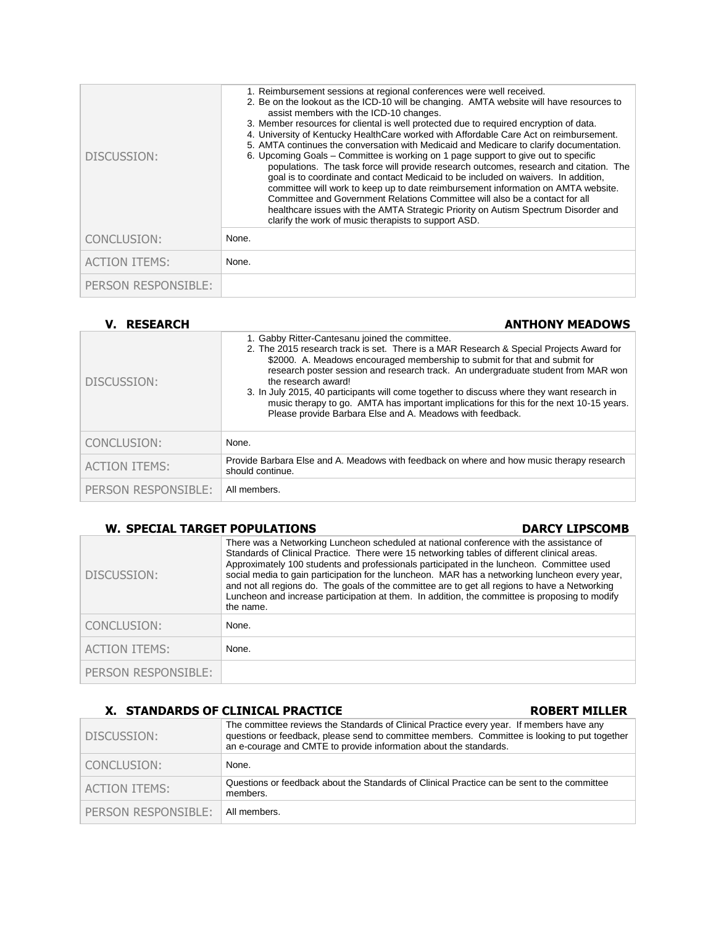| DISCUSSION:          | 1. Reimbursement sessions at regional conferences were well received.<br>2. Be on the lookout as the ICD-10 will be changing. AMTA website will have resources to<br>assist members with the ICD-10 changes.<br>3. Member resources for cliental is well protected due to required encryption of data.<br>4. University of Kentucky HealthCare worked with Affordable Care Act on reimbursement.<br>5. AMTA continues the conversation with Medicaid and Medicare to clarify documentation.<br>6. Upcoming Goals – Committee is working on 1 page support to give out to specific<br>populations. The task force will provide research outcomes, research and citation. The<br>goal is to coordinate and contact Medicaid to be included on waivers. In addition,<br>committee will work to keep up to date reimbursement information on AMTA website.<br>Committee and Government Relations Committee will also be a contact for all<br>healthcare issues with the AMTA Strategic Priority on Autism Spectrum Disorder and<br>clarify the work of music therapists to support ASD. |
|----------------------|-------------------------------------------------------------------------------------------------------------------------------------------------------------------------------------------------------------------------------------------------------------------------------------------------------------------------------------------------------------------------------------------------------------------------------------------------------------------------------------------------------------------------------------------------------------------------------------------------------------------------------------------------------------------------------------------------------------------------------------------------------------------------------------------------------------------------------------------------------------------------------------------------------------------------------------------------------------------------------------------------------------------------------------------------------------------------------------|
| CONCLUSION:          | None.                                                                                                                                                                                                                                                                                                                                                                                                                                                                                                                                                                                                                                                                                                                                                                                                                                                                                                                                                                                                                                                                               |
| <b>ACTION ITEMS:</b> | None.                                                                                                                                                                                                                                                                                                                                                                                                                                                                                                                                                                                                                                                                                                                                                                                                                                                                                                                                                                                                                                                                               |
| PERSON RESPONSIBLE:  |                                                                                                                                                                                                                                                                                                                                                                                                                                                                                                                                                                                                                                                                                                                                                                                                                                                                                                                                                                                                                                                                                     |

| <b>V. RESEARCH</b>   | <b>ANTHONY MEADOWS</b>                                                                                                                                                                                                                                                                                                                                                                                                                                                                                                                                                                     |  |
|----------------------|--------------------------------------------------------------------------------------------------------------------------------------------------------------------------------------------------------------------------------------------------------------------------------------------------------------------------------------------------------------------------------------------------------------------------------------------------------------------------------------------------------------------------------------------------------------------------------------------|--|
| DISCUSSION:          | 1. Gabby Ritter-Cantesanu joined the committee.<br>2. The 2015 research track is set. There is a MAR Research & Special Projects Award for<br>\$2000. A. Meadows encouraged membership to submit for that and submit for<br>research poster session and research track. An undergraduate student from MAR won<br>the research award!<br>3. In July 2015, 40 participants will come together to discuss where they want research in<br>music therapy to go. AMTA has important implications for this for the next 10-15 years.<br>Please provide Barbara Else and A. Meadows with feedback. |  |
| CONCLUSION:          | None.                                                                                                                                                                                                                                                                                                                                                                                                                                                                                                                                                                                      |  |
| <b>ACTION ITEMS:</b> | Provide Barbara Else and A. Meadows with feedback on where and how music therapy research<br>should continue.                                                                                                                                                                                                                                                                                                                                                                                                                                                                              |  |
| PERSON RESPONSIBLE:  | All members.                                                                                                                                                                                                                                                                                                                                                                                                                                                                                                                                                                               |  |

# **W. SPECIAL TARGET POPULATIONS DARCY LIPSCOMB**

| 11. JI LUIAL IANULI I VI ULAIIVIIJ<br>PART LIPCOPP |                                                                                                                                                                                                                                                                                                                                                                                                                                                                                                                                                                                                         |  |
|----------------------------------------------------|---------------------------------------------------------------------------------------------------------------------------------------------------------------------------------------------------------------------------------------------------------------------------------------------------------------------------------------------------------------------------------------------------------------------------------------------------------------------------------------------------------------------------------------------------------------------------------------------------------|--|
| DISCUSSION:                                        | There was a Networking Luncheon scheduled at national conference with the assistance of<br>Standards of Clinical Practice. There were 15 networking tables of different clinical areas.<br>Approximately 100 students and professionals participated in the luncheon. Committee used<br>social media to gain participation for the luncheon. MAR has a networking luncheon every year,<br>and not all regions do. The goals of the committee are to get all regions to have a Networking<br>Luncheon and increase participation at them. In addition, the committee is proposing to modify<br>the name. |  |
| CONCLUSION:                                        | None.                                                                                                                                                                                                                                                                                                                                                                                                                                                                                                                                                                                                   |  |
| <b>ACTION ITEMS:</b>                               | None.                                                                                                                                                                                                                                                                                                                                                                                                                                                                                                                                                                                                   |  |
| PERSON RESPONSIBLE:                                |                                                                                                                                                                                                                                                                                                                                                                                                                                                                                                                                                                                                         |  |

### **X. STANDARDS OF CLINICAL PRACTICE ROBERT MILLER**

### DISCUSSION: The committee reviews the Standards of Clinical Practice every year. If members have any questions or feedback, please send to committee members. Committee is looking to put together an e-courage and CMTE to provide information about the standards. CONCLUSION: None. ACTION ITEMS:<br> **Questions or feedback about the Standards of Clinical Practice can be sent to the committee** members. PERSON RESPONSIBLE: | All members.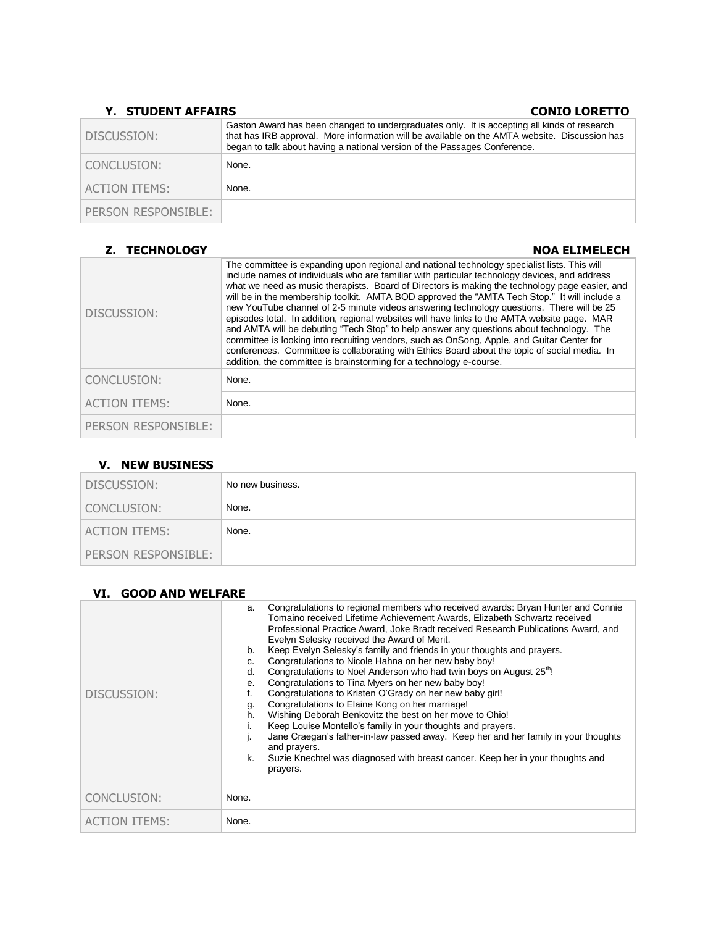# **Y. STUDENT AFFAIRS CONIC LORETTO**

| DISCUSSION:          | Gaston Award has been changed to undergraduates only. It is accepting all kinds of research<br>that has IRB approval. More information will be available on the AMTA website. Discussion has<br>began to talk about having a national version of the Passages Conference. |
|----------------------|---------------------------------------------------------------------------------------------------------------------------------------------------------------------------------------------------------------------------------------------------------------------------|
| CONCLUSION:          | None.                                                                                                                                                                                                                                                                     |
| <b>ACTION ITEMS:</b> | None.                                                                                                                                                                                                                                                                     |
| PERSON RESPONSIBLE:  |                                                                                                                                                                                                                                                                           |

| <b>Z. TECHNOLOGY</b> | <b>NOA ELIMELECH</b>                                                                                                                                                                                                                                                                                                                                                                                                                                                                                                                                                                                                                                                                                                                                                                                                                                                                                                                                           |
|----------------------|----------------------------------------------------------------------------------------------------------------------------------------------------------------------------------------------------------------------------------------------------------------------------------------------------------------------------------------------------------------------------------------------------------------------------------------------------------------------------------------------------------------------------------------------------------------------------------------------------------------------------------------------------------------------------------------------------------------------------------------------------------------------------------------------------------------------------------------------------------------------------------------------------------------------------------------------------------------|
| DISCUSSION:          | The committee is expanding upon regional and national technology specialist lists. This will<br>include names of individuals who are familiar with particular technology devices, and address<br>what we need as music therapists. Board of Directors is making the technology page easier, and<br>will be in the membership toolkit. AMTA BOD approved the "AMTA Tech Stop." It will include a<br>new YouTube channel of 2-5 minute videos answering technology questions. There will be 25<br>episodes total. In addition, regional websites will have links to the AMTA website page. MAR<br>and AMTA will be debuting "Tech Stop" to help answer any questions about technology. The<br>committee is looking into recruiting vendors, such as OnSong, Apple, and Guitar Center for<br>conferences. Committee is collaborating with Ethics Board about the topic of social media. In<br>addition, the committee is brainstorming for a technology e-course. |
| CONCLUSION:          | None.                                                                                                                                                                                                                                                                                                                                                                                                                                                                                                                                                                                                                                                                                                                                                                                                                                                                                                                                                          |
| <b>ACTION ITEMS:</b> | None.                                                                                                                                                                                                                                                                                                                                                                                                                                                                                                                                                                                                                                                                                                                                                                                                                                                                                                                                                          |
| PERSON RESPONSIBLE:  |                                                                                                                                                                                                                                                                                                                                                                                                                                                                                                                                                                                                                                                                                                                                                                                                                                                                                                                                                                |

# **V. NEW BUSINESS**

| DISCUSSION:          | No new business. |
|----------------------|------------------|
| CONCLUSION:          | None.            |
| <b>ACTION ITEMS:</b> | None.            |
| PERSON RESPONSIBLE:  |                  |

# **VI. GOOD AND WELFARE**

| DISCUSSION:          | Congratulations to regional members who received awards: Bryan Hunter and Connie<br>a.<br>Tomaino received Lifetime Achievement Awards. Elizabeth Schwartz received<br>Professional Practice Award, Joke Bradt received Research Publications Award, and<br>Evelyn Selesky received the Award of Merit.<br>Keep Evelyn Selesky's family and friends in your thoughts and prayers.<br>b.<br>Congratulations to Nicole Hahna on her new baby boy!<br>C.<br>Congratulations to Noel Anderson who had twin boys on August 25 <sup>th</sup> !<br>d.<br>Congratulations to Tina Myers on her new baby boy!<br>е.<br>Congratulations to Kristen O'Grady on her new baby girl!<br>f.<br>Congratulations to Elaine Kong on her marriage!<br>g.<br>Wishing Deborah Benkovitz the best on her move to Ohio!<br>h.<br>Keep Louise Montello's family in your thoughts and prayers.<br>Jane Craegan's father-in-law passed away. Keep her and her family in your thoughts<br>and prayers.<br>Suzie Knechtel was diagnosed with breast cancer. Keep her in your thoughts and<br>k.<br>prayers. |
|----------------------|---------------------------------------------------------------------------------------------------------------------------------------------------------------------------------------------------------------------------------------------------------------------------------------------------------------------------------------------------------------------------------------------------------------------------------------------------------------------------------------------------------------------------------------------------------------------------------------------------------------------------------------------------------------------------------------------------------------------------------------------------------------------------------------------------------------------------------------------------------------------------------------------------------------------------------------------------------------------------------------------------------------------------------------------------------------------------------|
| CONCLUSION:          | None.                                                                                                                                                                                                                                                                                                                                                                                                                                                                                                                                                                                                                                                                                                                                                                                                                                                                                                                                                                                                                                                                           |
| <b>ACTION ITEMS:</b> | None.                                                                                                                                                                                                                                                                                                                                                                                                                                                                                                                                                                                                                                                                                                                                                                                                                                                                                                                                                                                                                                                                           |